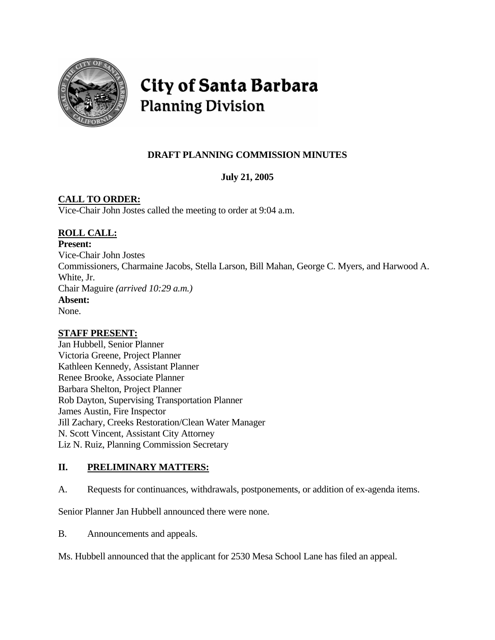

# City of Santa Barbara **Planning Division**

# **DRAFT PLANNING COMMISSION MINUTES**

**July 21, 2005** 

# **CALL TO ORDER:**

Vice-Chair John Jostes called the meeting to order at 9:04 a.m.

# **ROLL CALL:**

**Present:**

Vice-Chair John Jostes Commissioners, Charmaine Jacobs, Stella Larson, Bill Mahan, George C. Myers, and Harwood A. White, Jr. Chair Maguire *(arrived 10:29 a.m.)* **Absent:**  None.

### **STAFF PRESENT:**

Jan Hubbell, Senior Planner Victoria Greene, Project Planner Kathleen Kennedy, Assistant Planner Renee Brooke, Associate Planner Barbara Shelton, Project Planner Rob Dayton, Supervising Transportation Planner James Austin, Fire Inspector Jill Zachary, Creeks Restoration/Clean Water Manager N. Scott Vincent, Assistant City Attorney Liz N. Ruiz, Planning Commission Secretary

# **II. PRELIMINARY MATTERS:**

A. Requests for continuances, withdrawals, postponements, or addition of ex-agenda items.

Senior Planner Jan Hubbell announced there were none.

B. Announcements and appeals.

Ms. Hubbell announced that the applicant for 2530 Mesa School Lane has filed an appeal.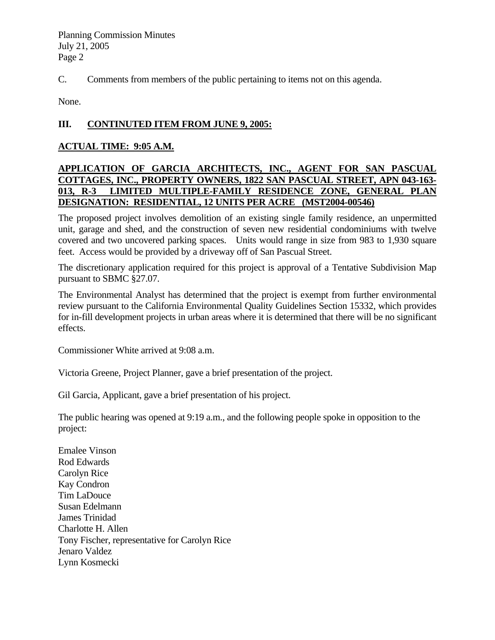C. Comments from members of the public pertaining to items not on this agenda.

None.

### **III. CONTINUTED ITEM FROM JUNE 9, 2005:**

### **ACTUAL TIME: 9:05 A.M.**

### **APPLICATION OF GARCIA ARCHITECTS, INC., AGENT FOR SAN PASCUAL COTTAGES, INC., PROPERTY OWNERS, 1822 SAN PASCUAL STREET, APN 043-163- 013, R-3 LIMITED MULTIPLE-FAMILY RESIDENCE ZONE, GENERAL PLAN DESIGNATION: RESIDENTIAL, 12 UNITS PER ACRE (MST2004-00546)**

The proposed project involves demolition of an existing single family residence, an unpermitted unit, garage and shed, and the construction of seven new residential condominiums with twelve covered and two uncovered parking spaces. Units would range in size from 983 to 1,930 square feet. Access would be provided by a driveway off of San Pascual Street.

The discretionary application required for this project is approval of a Tentative Subdivision Map pursuant to SBMC §27.07.

The Environmental Analyst has determined that the project is exempt from further environmental review pursuant to the California Environmental Quality Guidelines Section 15332, which provides for in-fill development projects in urban areas where it is determined that there will be no significant effects.

Commissioner White arrived at 9:08 a.m.

Victoria Greene, Project Planner, gave a brief presentation of the project.

Gil Garcia, Applicant, gave a brief presentation of his project.

The public hearing was opened at 9:19 a.m., and the following people spoke in opposition to the project:

Emalee Vinson Rod Edwards Carolyn Rice Kay Condron Tim LaDouce Susan Edelmann James Trinidad Charlotte H. Allen Tony Fischer, representative for Carolyn Rice Jenaro Valdez Lynn Kosmecki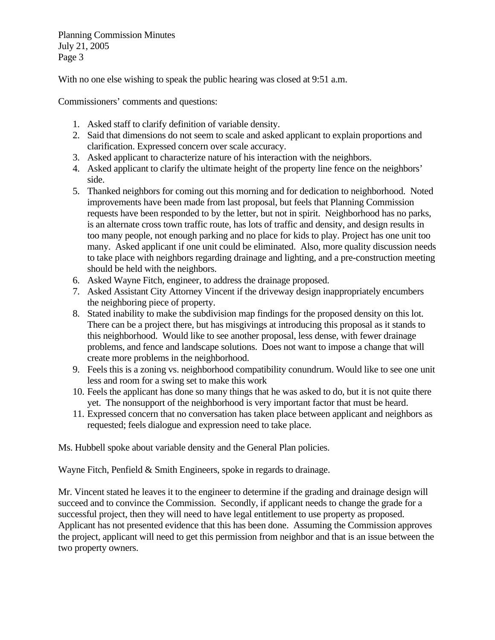With no one else wishing to speak the public hearing was closed at 9:51 a.m.

Commissioners' comments and questions:

- 1. Asked staff to clarify definition of variable density.
- 2. Said that dimensions do not seem to scale and asked applicant to explain proportions and clarification. Expressed concern over scale accuracy.
- 3. Asked applicant to characterize nature of his interaction with the neighbors.
- 4. Asked applicant to clarify the ultimate height of the property line fence on the neighbors' side.
- 5. Thanked neighbors for coming out this morning and for dedication to neighborhood. Noted improvements have been made from last proposal, but feels that Planning Commission requests have been responded to by the letter, but not in spirit. Neighborhood has no parks, is an alternate cross town traffic route, has lots of traffic and density, and design results in too many people, not enough parking and no place for kids to play. Project has one unit too many. Asked applicant if one unit could be eliminated. Also, more quality discussion needs to take place with neighbors regarding drainage and lighting, and a pre-construction meeting should be held with the neighbors.
- 6. Asked Wayne Fitch, engineer, to address the drainage proposed.
- 7. Asked Assistant City Attorney Vincent if the driveway design inappropriately encumbers the neighboring piece of property.
- 8. Stated inability to make the subdivision map findings for the proposed density on this lot. There can be a project there, but has misgivings at introducing this proposal as it stands to this neighborhood. Would like to see another proposal, less dense, with fewer drainage problems, and fence and landscape solutions. Does not want to impose a change that will create more problems in the neighborhood.
- 9. Feels this is a zoning vs. neighborhood compatibility conundrum. Would like to see one unit less and room for a swing set to make this work
- 10. Feels the applicant has done so many things that he was asked to do, but it is not quite there yet. The nonsupport of the neighborhood is very important factor that must be heard.
- 11. Expressed concern that no conversation has taken place between applicant and neighbors as requested; feels dialogue and expression need to take place.

Ms. Hubbell spoke about variable density and the General Plan policies.

Wayne Fitch, Penfield & Smith Engineers, spoke in regards to drainage.

Mr. Vincent stated he leaves it to the engineer to determine if the grading and drainage design will succeed and to convince the Commission. Secondly, if applicant needs to change the grade for a successful project, then they will need to have legal entitlement to use property as proposed. Applicant has not presented evidence that this has been done. Assuming the Commission approves the project, applicant will need to get this permission from neighbor and that is an issue between the two property owners.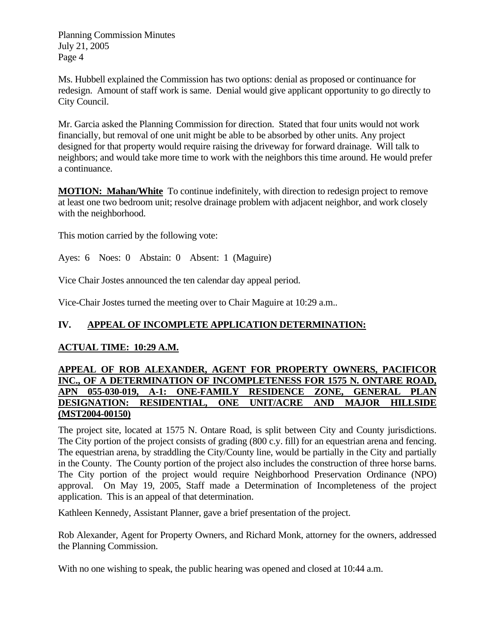Ms. Hubbell explained the Commission has two options: denial as proposed or continuance for redesign. Amount of staff work is same. Denial would give applicant opportunity to go directly to City Council.

Mr. Garcia asked the Planning Commission for direction. Stated that four units would not work financially, but removal of one unit might be able to be absorbed by other units. Any project designed for that property would require raising the driveway for forward drainage. Will talk to neighbors; and would take more time to work with the neighbors this time around. He would prefer a continuance.

**MOTION: Mahan/White** To continue indefinitely, with direction to redesign project to remove at least one two bedroom unit; resolve drainage problem with adjacent neighbor, and work closely with the neighborhood.

This motion carried by the following vote:

Ayes: 6 Noes: 0 Abstain: 0 Absent: 1 (Maguire)

Vice Chair Jostes announced the ten calendar day appeal period.

Vice-Chair Jostes turned the meeting over to Chair Maguire at 10:29 a.m..

### **IV. APPEAL OF INCOMPLETE APPLICATION DETERMINATION:**

### **ACTUAL TIME: 10:29 A.M.**

### **APPEAL OF ROB ALEXANDER, AGENT FOR PROPERTY OWNERS, PACIFICOR INC., OF A DETERMINATION OF INCOMPLETENESS FOR 1575 N. ONTARE ROAD, APN 055-030-019, A-1: ONE-FAMILY RESIDENCE ZONE, GENERAL PLAN DESIGNATION: RESIDENTIAL, ONE UNIT/ACRE AND MAJOR HILLSIDE (MST2004-00150)**

The project site, located at 1575 N. Ontare Road, is split between City and County jurisdictions. The City portion of the project consists of grading (800 c.y. fill) for an equestrian arena and fencing. The equestrian arena, by straddling the City/County line, would be partially in the City and partially in the County. The County portion of the project also includes the construction of three horse barns. The City portion of the project would require Neighborhood Preservation Ordinance (NPO) approval. On May 19, 2005, Staff made a Determination of Incompleteness of the project application. This is an appeal of that determination.

Kathleen Kennedy, Assistant Planner, gave a brief presentation of the project.

Rob Alexander, Agent for Property Owners, and Richard Monk, attorney for the owners, addressed the Planning Commission.

With no one wishing to speak, the public hearing was opened and closed at 10:44 a.m.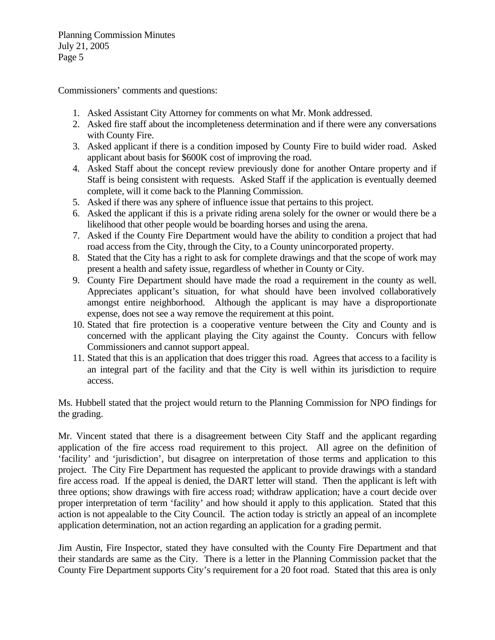Commissioners' comments and questions:

- 1. Asked Assistant City Attorney for comments on what Mr. Monk addressed.
- 2. Asked fire staff about the incompleteness determination and if there were any conversations with County Fire.
- 3. Asked applicant if there is a condition imposed by County Fire to build wider road. Asked applicant about basis for \$600K cost of improving the road.
- 4. Asked Staff about the concept review previously done for another Ontare property and if Staff is being consistent with requests. Asked Staff if the application is eventually deemed complete, will it come back to the Planning Commission.
- 5. Asked if there was any sphere of influence issue that pertains to this project.
- 6. Asked the applicant if this is a private riding arena solely for the owner or would there be a likelihood that other people would be boarding horses and using the arena.
- 7. Asked if the County Fire Department would have the ability to condition a project that had road access from the City, through the City, to a County unincorporated property.
- 8. Stated that the City has a right to ask for complete drawings and that the scope of work may present a health and safety issue, regardless of whether in County or City.
- 9. County Fire Department should have made the road a requirement in the county as well. Appreciates applicant's situation, for what should have been involved collaboratively amongst entire neighborhood. Although the applicant is may have a disproportionate expense, does not see a way remove the requirement at this point.
- 10. Stated that fire protection is a cooperative venture between the City and County and is concerned with the applicant playing the City against the County. Concurs with fellow Commissioners and cannot support appeal.
- 11. Stated that this is an application that does trigger this road. Agrees that access to a facility is an integral part of the facility and that the City is well within its jurisdiction to require access.

Ms. Hubbell stated that the project would return to the Planning Commission for NPO findings for the grading.

Mr. Vincent stated that there is a disagreement between City Staff and the applicant regarding application of the fire access road requirement to this project. All agree on the definition of 'facility' and 'jurisdiction', but disagree on interpretation of those terms and application to this project. The City Fire Department has requested the applicant to provide drawings with a standard fire access road. If the appeal is denied, the DART letter will stand. Then the applicant is left with three options; show drawings with fire access road; withdraw application; have a court decide over proper interpretation of term 'facility' and how should it apply to this application. Stated that this action is not appealable to the City Council. The action today is strictly an appeal of an incomplete application determination, not an action regarding an application for a grading permit.

Jim Austin, Fire Inspector, stated they have consulted with the County Fire Department and that their standards are same as the City. There is a letter in the Planning Commission packet that the County Fire Department supports City's requirement for a 20 foot road. Stated that this area is only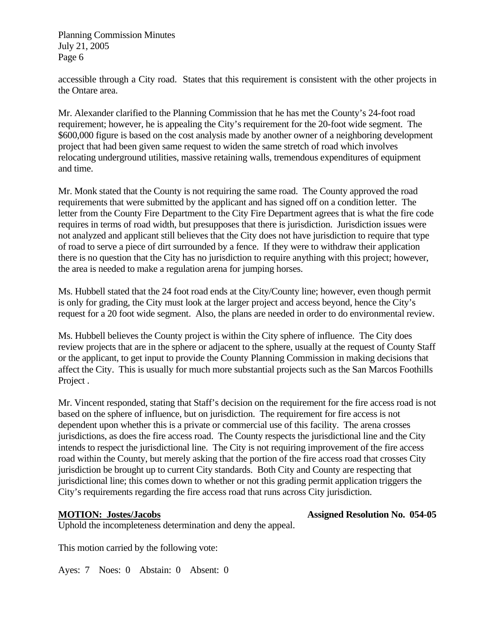accessible through a City road. States that this requirement is consistent with the other projects in the Ontare area.

Mr. Alexander clarified to the Planning Commission that he has met the County's 24-foot road requirement; however, he is appealing the City's requirement for the 20-foot wide segment. The \$600,000 figure is based on the cost analysis made by another owner of a neighboring development project that had been given same request to widen the same stretch of road which involves relocating underground utilities, massive retaining walls, tremendous expenditures of equipment and time.

Mr. Monk stated that the County is not requiring the same road. The County approved the road requirements that were submitted by the applicant and has signed off on a condition letter. The letter from the County Fire Department to the City Fire Department agrees that is what the fire code requires in terms of road width, but presupposes that there is jurisdiction. Jurisdiction issues were not analyzed and applicant still believes that the City does not have jurisdiction to require that type of road to serve a piece of dirt surrounded by a fence. If they were to withdraw their application there is no question that the City has no jurisdiction to require anything with this project; however, the area is needed to make a regulation arena for jumping horses.

Ms. Hubbell stated that the 24 foot road ends at the City/County line; however, even though permit is only for grading, the City must look at the larger project and access beyond, hence the City's request for a 20 foot wide segment. Also, the plans are needed in order to do environmental review.

Ms. Hubbell believes the County project is within the City sphere of influence. The City does review projects that are in the sphere or adjacent to the sphere, usually at the request of County Staff or the applicant, to get input to provide the County Planning Commission in making decisions that affect the City. This is usually for much more substantial projects such as the San Marcos Foothills Project .

Mr. Vincent responded, stating that Staff's decision on the requirement for the fire access road is not based on the sphere of influence, but on jurisdiction. The requirement for fire access is not dependent upon whether this is a private or commercial use of this facility. The arena crosses jurisdictions, as does the fire access road. The County respects the jurisdictional line and the City intends to respect the jurisdictional line. The City is not requiring improvement of the fire access road within the County, but merely asking that the portion of the fire access road that crosses City jurisdiction be brought up to current City standards. Both City and County are respecting that jurisdictional line; this comes down to whether or not this grading permit application triggers the City's requirements regarding the fire access road that runs across City jurisdiction.

**MOTION: Jostes/Jacobs Assigned Resolution No. 054-05** 

Uphold the incompleteness determination and deny the appeal.

This motion carried by the following vote:

Ayes: 7 Noes: 0 Abstain: 0 Absent: 0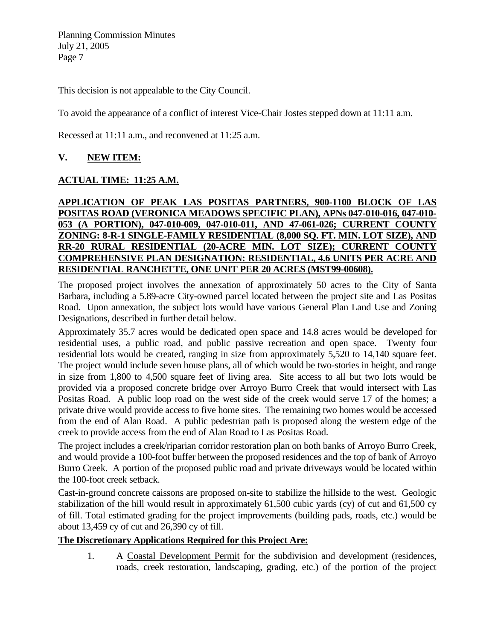This decision is not appealable to the City Council.

To avoid the appearance of a conflict of interest Vice-Chair Jostes stepped down at 11:11 a.m.

Recessed at 11:11 a.m., and reconvened at 11:25 a.m.

### **V. NEW ITEM:**

### **ACTUAL TIME: 11:25 A.M.**

### **APPLICATION OF PEAK LAS POSITAS PARTNERS, 900-1100 BLOCK OF LAS POSITAS ROAD (VERONICA MEADOWS SPECIFIC PLAN), APNs 047-010-016, 047-010- 053 (A PORTION), 047-010-009, 047-010-011, AND 47-061-026; CURRENT COUNTY ZONING: 8-R-1 SINGLE-FAMILY RESIDENTIAL (8,000 SQ. FT. MIN. LOT SIZE), AND RR-20 RURAL RESIDENTIAL (20-ACRE MIN. LOT SIZE); CURRENT COUNTY COMPREHENSIVE PLAN DESIGNATION: RESIDENTIAL, 4.6 UNITS PER ACRE AND RESIDENTIAL RANCHETTE, ONE UNIT PER 20 ACRES (MST99-00608).**

The proposed project involves the annexation of approximately 50 acres to the City of Santa Barbara, including a 5.89-acre City-owned parcel located between the project site and Las Positas Road. Upon annexation, the subject lots would have various General Plan Land Use and Zoning Designations, described in further detail below.

Approximately 35.7 acres would be dedicated open space and 14.8 acres would be developed for residential uses, a public road, and public passive recreation and open space. Twenty four residential lots would be created, ranging in size from approximately 5,520 to 14,140 square feet. The project would include seven house plans, all of which would be two-stories in height, and range in size from 1,800 to 4,500 square feet of living area. Site access to all but two lots would be provided via a proposed concrete bridge over Arroyo Burro Creek that would intersect with Las Positas Road. A public loop road on the west side of the creek would serve 17 of the homes; a private drive would provide access to five home sites. The remaining two homes would be accessed from the end of Alan Road. A public pedestrian path is proposed along the western edge of the creek to provide access from the end of Alan Road to Las Positas Road.

The project includes a creek/riparian corridor restoration plan on both banks of Arroyo Burro Creek, and would provide a 100-foot buffer between the proposed residences and the top of bank of Arroyo Burro Creek. A portion of the proposed public road and private driveways would be located within the 100-foot creek setback.

Cast-in-ground concrete caissons are proposed on-site to stabilize the hillside to the west. Geologic stabilization of the hill would result in approximately 61,500 cubic yards (cy) of cut and 61,500 cy of fill. Total estimated grading for the project improvements (building pads, roads, etc.) would be about 13,459 cy of cut and 26,390 cy of fill.

### **The Discretionary Applications Required for this Project Are:**

1. A Coastal Development Permit for the subdivision and development (residences, roads, creek restoration, landscaping, grading, etc.) of the portion of the project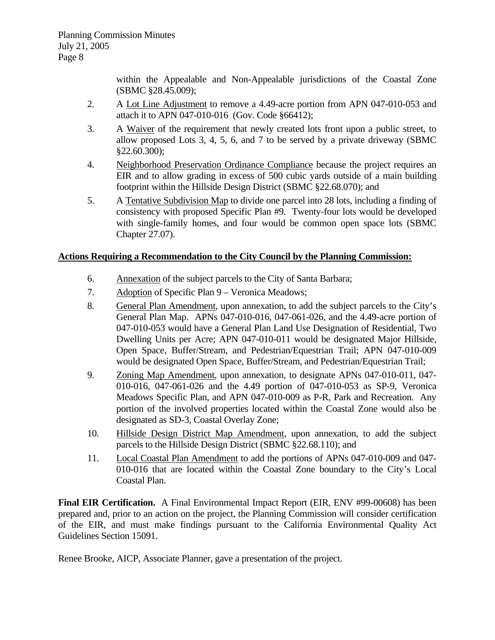within the Appealable and Non-Appealable jurisdictions of the Coastal Zone (SBMC §28.45.009);

- 2. A Lot Line Adjustment to remove a 4.49-acre portion from APN 047-010-053 and attach it to APN 047-010-016 (Gov. Code §66412);
- 3. A Waiver of the requirement that newly created lots front upon a public street, to allow proposed Lots 3, 4, 5, 6, and 7 to be served by a private driveway (SBMC §22.60.300);
- 4. Neighborhood Preservation Ordinance Compliance because the project requires an EIR and to allow grading in excess of 500 cubic yards outside of a main building footprint within the Hillside Design District (SBMC §22.68.070); and
- 5. A Tentative Subdivision Map to divide one parcel into 28 lots, including a finding of consistency with proposed Specific Plan #9. Twenty-four lots would be developed with single-family homes, and four would be common open space lots (SBMC Chapter 27.07).

### **Actions Requiring a Recommendation to the City Council by the Planning Commission:**

- 6. Annexation of the subject parcels to the City of Santa Barbara;
- 7. Adoption of Specific Plan 9 Veronica Meadows;
- 8. General Plan Amendment, upon annexation, to add the subject parcels to the City's General Plan Map. APNs 047-010-016, 047-061-026, and the 4.49-acre portion of 047-010-053 would have a General Plan Land Use Designation of Residential, Two Dwelling Units per Acre; APN 047-010-011 would be designated Major Hillside, Open Space, Buffer/Stream, and Pedestrian/Equestrian Trail; APN 047-010-009 would be designated Open Space, Buffer/Stream, and Pedestrian/Equestrian Trail;
- 9. Zoning Map Amendment, upon annexation, to designate APNs 047-010-011, 047- 010-016, 047-061-026 and the 4.49 portion of 047-010-053 as SP-9, Veronica Meadows Specific Plan, and APN 047-010-009 as P-R, Park and Recreation. Any portion of the involved properties located within the Coastal Zone would also be designated as SD-3, Coastal Overlay Zone;
- 10. Hillside Design District Map Amendment, upon annexation, to add the subject parcels to the Hillside Design District (SBMC §22.68.110); and
- 11. Local Coastal Plan Amendment to add the portions of APNs 047-010-009 and 047- 010-016 that are located within the Coastal Zone boundary to the City's Local Coastal Plan.

**Final EIR Certification.** A Final Environmental Impact Report (EIR, ENV #99-00608) has been prepared and, prior to an action on the project, the Planning Commission will consider certification of the EIR, and must make findings pursuant to the California Environmental Quality Act Guidelines Section 15091.

Renee Brooke, AICP, Associate Planner, gave a presentation of the project.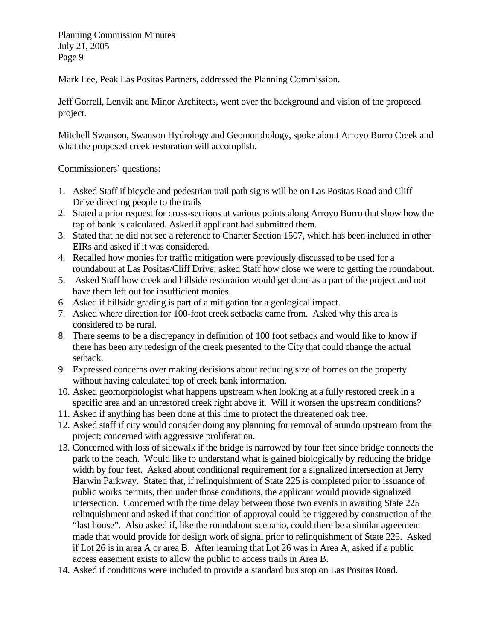Mark Lee, Peak Las Positas Partners, addressed the Planning Commission.

Jeff Gorrell, Lenvik and Minor Architects, went over the background and vision of the proposed project.

Mitchell Swanson, Swanson Hydrology and Geomorphology, spoke about Arroyo Burro Creek and what the proposed creek restoration will accomplish.

Commissioners' questions:

- 1. Asked Staff if bicycle and pedestrian trail path signs will be on Las Positas Road and Cliff Drive directing people to the trails
- 2. Stated a prior request for cross-sections at various points along Arroyo Burro that show how the top of bank is calculated. Asked if applicant had submitted them.
- 3. Stated that he did not see a reference to Charter Section 1507, which has been included in other EIRs and asked if it was considered.
- 4. Recalled how monies for traffic mitigation were previously discussed to be used for a roundabout at Las Positas/Cliff Drive; asked Staff how close we were to getting the roundabout.
- 5. Asked Staff how creek and hillside restoration would get done as a part of the project and not have them left out for insufficient monies.
- 6. Asked if hillside grading is part of a mitigation for a geological impact.
- 7. Asked where direction for 100-foot creek setbacks came from. Asked why this area is considered to be rural.
- 8. There seems to be a discrepancy in definition of 100 foot setback and would like to know if there has been any redesign of the creek presented to the City that could change the actual setback.
- 9. Expressed concerns over making decisions about reducing size of homes on the property without having calculated top of creek bank information.
- 10. Asked geomorphologist what happens upstream when looking at a fully restored creek in a specific area and an unrestored creek right above it. Will it worsen the upstream conditions?
- 11. Asked if anything has been done at this time to protect the threatened oak tree.
- 12. Asked staff if city would consider doing any planning for removal of arundo upstream from the project; concerned with aggressive proliferation.
- 13. Concerned with loss of sidewalk if the bridge is narrowed by four feet since bridge connects the park to the beach. Would like to understand what is gained biologically by reducing the bridge width by four feet. Asked about conditional requirement for a signalized intersection at Jerry Harwin Parkway. Stated that, if relinquishment of State 225 is completed prior to issuance of public works permits, then under those conditions, the applicant would provide signalized intersection. Concerned with the time delay between those two events in awaiting State 225 relinquishment and asked if that condition of approval could be triggered by construction of the "last house". Also asked if, like the roundabout scenario, could there be a similar agreement made that would provide for design work of signal prior to relinquishment of State 225. Asked if Lot 26 is in area A or area B. After learning that Lot 26 was in Area A, asked if a public access easement exists to allow the public to access trails in Area B.
- 14. Asked if conditions were included to provide a standard bus stop on Las Positas Road.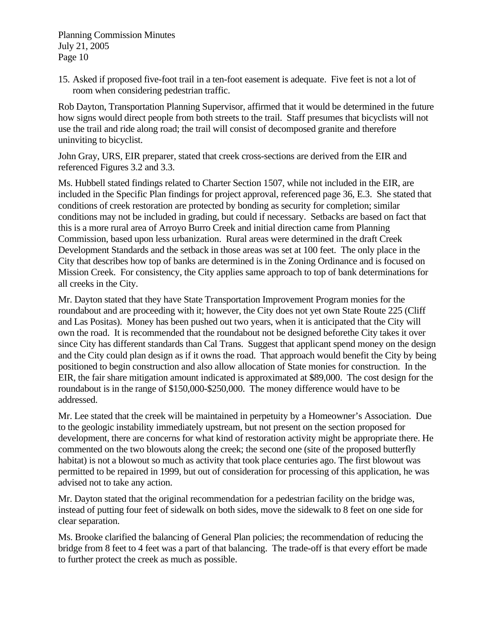15. Asked if proposed five-foot trail in a ten-foot easement is adequate. Five feet is not a lot of room when considering pedestrian traffic.

Rob Dayton, Transportation Planning Supervisor, affirmed that it would be determined in the future how signs would direct people from both streets to the trail. Staff presumes that bicyclists will not use the trail and ride along road; the trail will consist of decomposed granite and therefore uninviting to bicyclist.

John Gray, URS, EIR preparer, stated that creek cross-sections are derived from the EIR and referenced Figures 3.2 and 3.3.

Ms. Hubbell stated findings related to Charter Section 1507, while not included in the EIR, are included in the Specific Plan findings for project approval, referenced page 36, E.3. She stated that conditions of creek restoration are protected by bonding as security for completion; similar conditions may not be included in grading, but could if necessary. Setbacks are based on fact that this is a more rural area of Arroyo Burro Creek and initial direction came from Planning Commission, based upon less urbanization. Rural areas were determined in the draft Creek Development Standards and the setback in those areas was set at 100 feet. The only place in the City that describes how top of banks are determined is in the Zoning Ordinance and is focused on Mission Creek. For consistency, the City applies same approach to top of bank determinations for all creeks in the City.

Mr. Dayton stated that they have State Transportation Improvement Program monies for the roundabout and are proceeding with it; however, the City does not yet own State Route 225 (Cliff and Las Positas). Money has been pushed out two years, when it is anticipated that the City will own the road. It is recommended that the roundabout not be designed beforethe City takes it over since City has different standards than Cal Trans. Suggest that applicant spend money on the design and the City could plan design as if it owns the road. That approach would benefit the City by being positioned to begin construction and also allow allocation of State monies for construction. In the EIR, the fair share mitigation amount indicated is approximated at \$89,000. The cost design for the roundabout is in the range of \$150,000-\$250,000. The money difference would have to be addressed.

Mr. Lee stated that the creek will be maintained in perpetuity by a Homeowner's Association. Due to the geologic instability immediately upstream, but not present on the section proposed for development, there are concerns for what kind of restoration activity might be appropriate there. He commented on the two blowouts along the creek; the second one (site of the proposed butterfly habitat) is not a blowout so much as activity that took place centuries ago. The first blowout was permitted to be repaired in 1999, but out of consideration for processing of this application, he was advised not to take any action.

Mr. Dayton stated that the original recommendation for a pedestrian facility on the bridge was, instead of putting four feet of sidewalk on both sides, move the sidewalk to 8 feet on one side for clear separation.

Ms. Brooke clarified the balancing of General Plan policies; the recommendation of reducing the bridge from 8 feet to 4 feet was a part of that balancing. The trade-off is that every effort be made to further protect the creek as much as possible.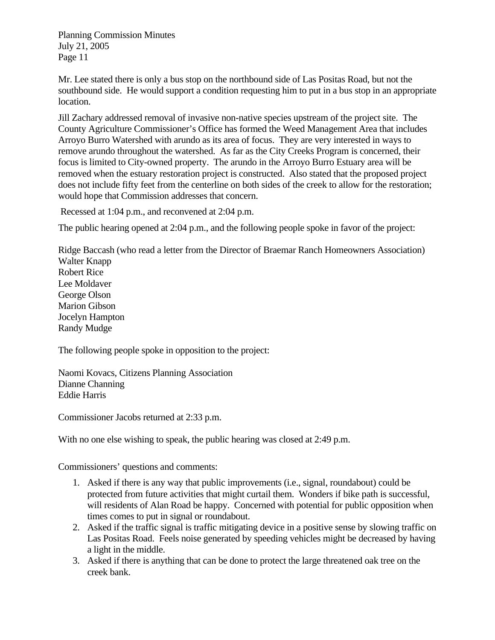Mr. Lee stated there is only a bus stop on the northbound side of Las Positas Road, but not the southbound side. He would support a condition requesting him to put in a bus stop in an appropriate location.

Jill Zachary addressed removal of invasive non-native species upstream of the project site. The County Agriculture Commissioner's Office has formed the Weed Management Area that includes Arroyo Burro Watershed with arundo as its area of focus. They are very interested in ways to remove arundo throughout the watershed. As far as the City Creeks Program is concerned, their focus is limited to City-owned property. The arundo in the Arroyo Burro Estuary area will be removed when the estuary restoration project is constructed. Also stated that the proposed project does not include fifty feet from the centerline on both sides of the creek to allow for the restoration; would hope that Commission addresses that concern.

Recessed at 1:04 p.m., and reconvened at 2:04 p.m.

The public hearing opened at 2:04 p.m., and the following people spoke in favor of the project:

Ridge Baccash (who read a letter from the Director of Braemar Ranch Homeowners Association) Walter Knapp Robert Rice Lee Moldaver George Olson Marion Gibson Jocelyn Hampton Randy Mudge

The following people spoke in opposition to the project:

Naomi Kovacs, Citizens Planning Association Dianne Channing Eddie Harris

Commissioner Jacobs returned at 2:33 p.m.

With no one else wishing to speak, the public hearing was closed at 2:49 p.m.

Commissioners' questions and comments:

- 1. Asked if there is any way that public improvements (i.e., signal, roundabout) could be protected from future activities that might curtail them. Wonders if bike path is successful, will residents of Alan Road be happy. Concerned with potential for public opposition when times comes to put in signal or roundabout.
- 2. Asked if the traffic signal is traffic mitigating device in a positive sense by slowing traffic on Las Positas Road. Feels noise generated by speeding vehicles might be decreased by having a light in the middle.
- 3. Asked if there is anything that can be done to protect the large threatened oak tree on the creek bank.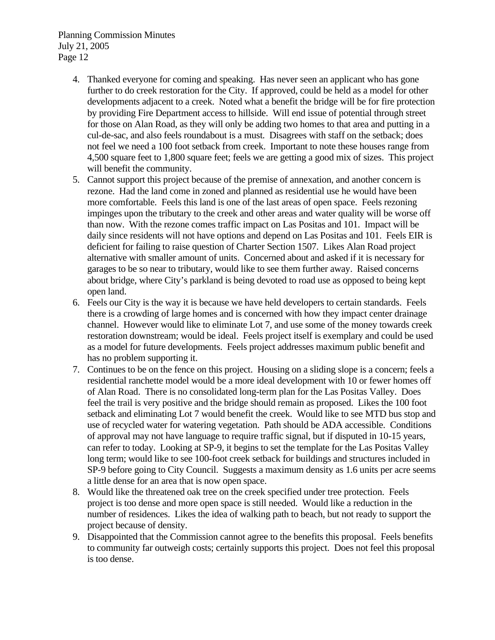- 4. Thanked everyone for coming and speaking. Has never seen an applicant who has gone further to do creek restoration for the City. If approved, could be held as a model for other developments adjacent to a creek. Noted what a benefit the bridge will be for fire protection by providing Fire Department access to hillside. Will end issue of potential through street for those on Alan Road, as they will only be adding two homes to that area and putting in a cul-de-sac, and also feels roundabout is a must. Disagrees with staff on the setback; does not feel we need a 100 foot setback from creek. Important to note these houses range from 4,500 square feet to 1,800 square feet; feels we are getting a good mix of sizes. This project will benefit the community.
- 5. Cannot support this project because of the premise of annexation, and another concern is rezone. Had the land come in zoned and planned as residential use he would have been more comfortable. Feels this land is one of the last areas of open space. Feels rezoning impinges upon the tributary to the creek and other areas and water quality will be worse off than now. With the rezone comes traffic impact on Las Positas and 101. Impact will be daily since residents will not have options and depend on Las Positas and 101. Feels EIR is deficient for failing to raise question of Charter Section 1507. Likes Alan Road project alternative with smaller amount of units. Concerned about and asked if it is necessary for garages to be so near to tributary, would like to see them further away. Raised concerns about bridge, where City's parkland is being devoted to road use as opposed to being kept open land.
- 6. Feels our City is the way it is because we have held developers to certain standards. Feels there is a crowding of large homes and is concerned with how they impact center drainage channel. However would like to eliminate Lot 7, and use some of the money towards creek restoration downstream; would be ideal. Feels project itself is exemplary and could be used as a model for future developments. Feels project addresses maximum public benefit and has no problem supporting it.
- 7. Continues to be on the fence on this project. Housing on a sliding slope is a concern; feels a residential ranchette model would be a more ideal development with 10 or fewer homes off of Alan Road. There is no consolidated long-term plan for the Las Positas Valley. Does feel the trail is very positive and the bridge should remain as proposed. Likes the 100 foot setback and eliminating Lot 7 would benefit the creek. Would like to see MTD bus stop and use of recycled water for watering vegetation. Path should be ADA accessible. Conditions of approval may not have language to require traffic signal, but if disputed in 10-15 years, can refer to today. Looking at SP-9, it begins to set the template for the Las Positas Valley long term; would like to see 100-foot creek setback for buildings and structures included in SP-9 before going to City Council. Suggests a maximum density as 1.6 units per acre seems a little dense for an area that is now open space.
- 8. Would like the threatened oak tree on the creek specified under tree protection. Feels project is too dense and more open space is still needed. Would like a reduction in the number of residences. Likes the idea of walking path to beach, but not ready to support the project because of density.
- 9. Disappointed that the Commission cannot agree to the benefits this proposal. Feels benefits to community far outweigh costs; certainly supports this project. Does not feel this proposal is too dense.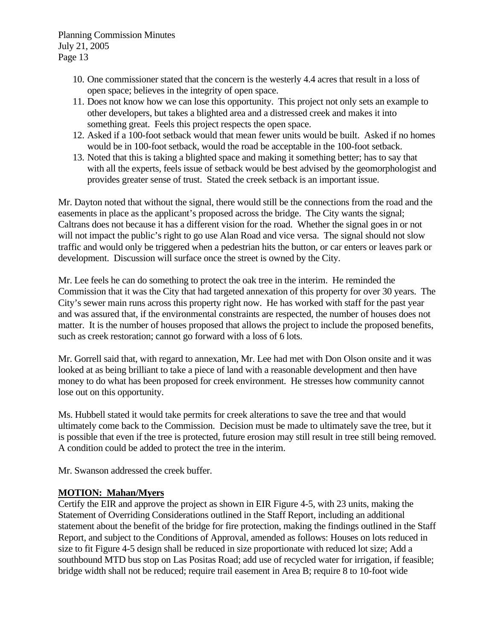- 10. One commissioner stated that the concern is the westerly 4.4 acres that result in a loss of open space; believes in the integrity of open space.
- 11. Does not know how we can lose this opportunity. This project not only sets an example to other developers, but takes a blighted area and a distressed creek and makes it into something great. Feels this project respects the open space.
- 12. Asked if a 100-foot setback would that mean fewer units would be built. Asked if no homes would be in 100-foot setback, would the road be acceptable in the 100-foot setback.
- 13. Noted that this is taking a blighted space and making it something better; has to say that with all the experts, feels issue of setback would be best advised by the geomorphologist and provides greater sense of trust. Stated the creek setback is an important issue.

Mr. Dayton noted that without the signal, there would still be the connections from the road and the easements in place as the applicant's proposed across the bridge. The City wants the signal; Caltrans does not because it has a different vision for the road. Whether the signal goes in or not will not impact the public's right to go use Alan Road and vice versa. The signal should not slow traffic and would only be triggered when a pedestrian hits the button, or car enters or leaves park or development. Discussion will surface once the street is owned by the City.

Mr. Lee feels he can do something to protect the oak tree in the interim. He reminded the Commission that it was the City that had targeted annexation of this property for over 30 years. The City's sewer main runs across this property right now. He has worked with staff for the past year and was assured that, if the environmental constraints are respected, the number of houses does not matter. It is the number of houses proposed that allows the project to include the proposed benefits, such as creek restoration; cannot go forward with a loss of 6 lots.

Mr. Gorrell said that, with regard to annexation, Mr. Lee had met with Don Olson onsite and it was looked at as being brilliant to take a piece of land with a reasonable development and then have money to do what has been proposed for creek environment. He stresses how community cannot lose out on this opportunity.

Ms. Hubbell stated it would take permits for creek alterations to save the tree and that would ultimately come back to the Commission. Decision must be made to ultimately save the tree, but it is possible that even if the tree is protected, future erosion may still result in tree still being removed. A condition could be added to protect the tree in the interim.

Mr. Swanson addressed the creek buffer.

### **MOTION: Mahan/Myers**

Certify the EIR and approve the project as shown in EIR Figure 4-5, with 23 units, making the Statement of Overriding Considerations outlined in the Staff Report, including an additional statement about the benefit of the bridge for fire protection, making the findings outlined in the Staff Report, and subject to the Conditions of Approval, amended as follows: Houses on lots reduced in size to fit Figure 4-5 design shall be reduced in size proportionate with reduced lot size; Add a southbound MTD bus stop on Las Positas Road; add use of recycled water for irrigation, if feasible; bridge width shall not be reduced; require trail easement in Area B; require 8 to 10-foot wide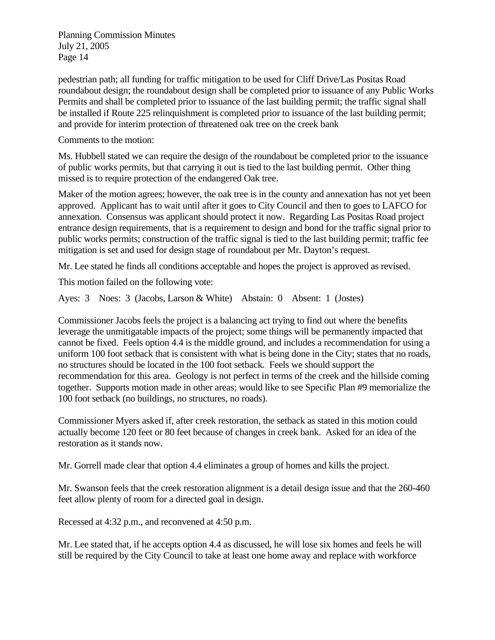pedestrian path; all funding for traffic mitigation to be used for Cliff Drive/Las Positas Road roundabout design; the roundabout design shall be completed prior to issuance of any Public Works Permits and shall be completed prior to issuance of the last building permit; the traffic signal shall be installed if Route 225 relinquishment is completed prior to issuance of the last building permit; and provide for interim protection of threatened oak tree on the creek bank

Comments to the motion:

Ms. Hubbell stated we can require the design of the roundabout be completed prior to the issuance of public works permits, but that carrying it out is tied to the last building permit. Other thing missed is to require protection of the endangered Oak tree.

Maker of the motion agrees; however, the oak tree is in the county and annexation has not yet been approved. Applicant has to wait until after it goes to City Council and then to goes to LAFCO for annexation. Consensus was applicant should protect it now. Regarding Las Positas Road project entrance design requirements, that is a requirement to design and bond for the traffic signal prior to public works permits; construction of the traffic signal is tied to the last building permit; traffic fee mitigation is set and used for design stage of roundabout per Mr. Dayton's request.

Mr. Lee stated he finds all conditions acceptable and hopes the project is approved as revised.

This motion failed on the following vote:

Ayes: 3 Noes: 3 (Jacobs, Larson & White) Abstain: 0 Absent: 1 (Jostes)

Commissioner Jacobs feels the project is a balancing act trying to find out where the benefits leverage the unmitigatable impacts of the project; some things will be permanently impacted that cannot be fixed. Feels option 4.4 is the middle ground, and includes a recommendation for using a uniform 100 foot setback that is consistent with what is being done in the City; states that no roads, no structures should be located in the 100 foot setback. Feels we should support the recommendation for this area. Geology is not perfect in terms of the creek and the hillside coming together. Supports motion made in other areas; would like to see Specific Plan #9 memorialize the 100 foot setback (no buildings, no structures, no roads).

Commissioner Myers asked if, after creek restoration, the setback as stated in this motion could actually become 120 feet or 80 feet because of changes in creek bank. Asked for an idea of the restoration as it stands now.

Mr. Gorrell made clear that option 4.4 eliminates a group of homes and kills the project.

Mr. Swanson feels that the creek restoration alignment is a detail design issue and that the 260-460 feet allow plenty of room for a directed goal in design.

Recessed at 4:32 p.m., and reconvened at 4:50 p.m.

Mr. Lee stated that, if he accepts option 4.4 as discussed, he will lose six homes and feels he will still be required by the City Council to take at least one home away and replace with workforce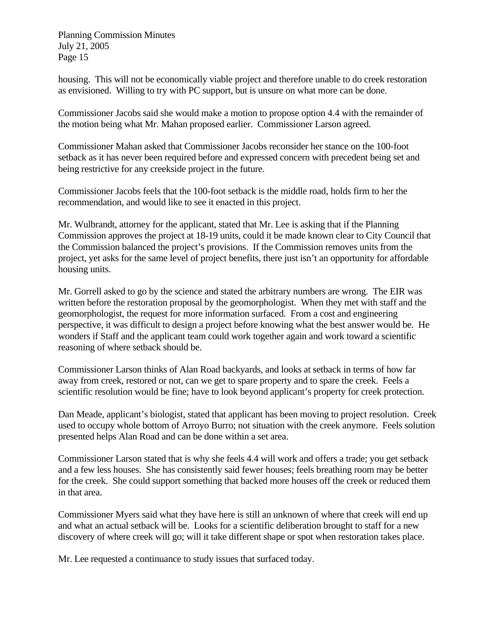housing. This will not be economically viable project and therefore unable to do creek restoration as envisioned. Willing to try with PC support, but is unsure on what more can be done.

Commissioner Jacobs said she would make a motion to propose option 4.4 with the remainder of the motion being what Mr. Mahan proposed earlier. Commissioner Larson agreed.

Commissioner Mahan asked that Commissioner Jacobs reconsider her stance on the 100-foot setback as it has never been required before and expressed concern with precedent being set and being restrictive for any creekside project in the future.

Commissioner Jacobs feels that the 100-foot setback is the middle road, holds firm to her the recommendation, and would like to see it enacted in this project.

Mr. Wulbrandt, attorney for the applicant, stated that Mr. Lee is asking that if the Planning Commission approves the project at 18-19 units, could it be made known clear to City Council that the Commission balanced the project's provisions. If the Commission removes units from the project, yet asks for the same level of project benefits, there just isn't an opportunity for affordable housing units.

Mr. Gorrell asked to go by the science and stated the arbitrary numbers are wrong. The EIR was written before the restoration proposal by the geomorphologist. When they met with staff and the geomorphologist, the request for more information surfaced. From a cost and engineering perspective, it was difficult to design a project before knowing what the best answer would be. He wonders if Staff and the applicant team could work together again and work toward a scientific reasoning of where setback should be.

Commissioner Larson thinks of Alan Road backyards, and looks at setback in terms of how far away from creek, restored or not, can we get to spare property and to spare the creek. Feels a scientific resolution would be fine; have to look beyond applicant's property for creek protection.

Dan Meade, applicant's biologist, stated that applicant has been moving to project resolution. Creek used to occupy whole bottom of Arroyo Burro; not situation with the creek anymore. Feels solution presented helps Alan Road and can be done within a set area.

Commissioner Larson stated that is why she feels 4.4 will work and offers a trade; you get setback and a few less houses. She has consistently said fewer houses; feels breathing room may be better for the creek. She could support something that backed more houses off the creek or reduced them in that area.

Commissioner Myers said what they have here is still an unknown of where that creek will end up and what an actual setback will be. Looks for a scientific deliberation brought to staff for a new discovery of where creek will go; will it take different shape or spot when restoration takes place.

Mr. Lee requested a continuance to study issues that surfaced today.